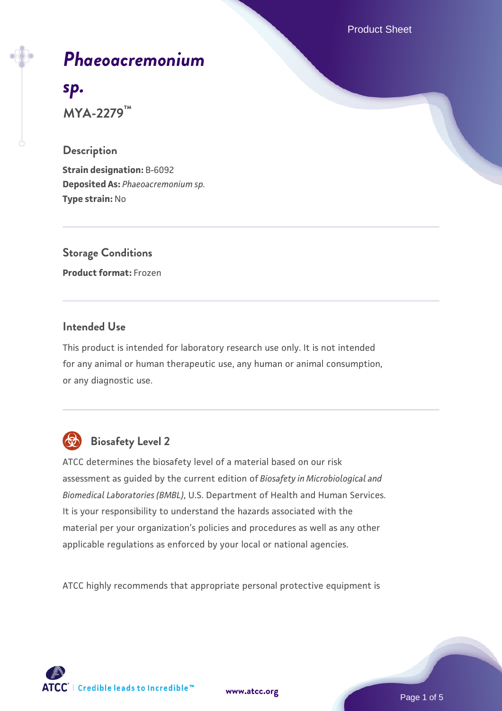Product Sheet



# *[Phaeoacremonium](https://www.atcc.org/products/mya-2279)*

# *[sp.](https://www.atcc.org/products/mya-2279)*

**MYA-2279™**

#### **Description**

**Strain designation:** B-6092 **Deposited As:** *Phaeoacremonium sp.* **Type strain:** No

**Storage Conditions Product format:** Frozen

#### **Intended Use**

This product is intended for laboratory research use only. It is not intended for any animal or human therapeutic use, any human or animal consumption, or any diagnostic use.



## **Biosafety Level 2**

ATCC determines the biosafety level of a material based on our risk assessment as guided by the current edition of *Biosafety in Microbiological and Biomedical Laboratories (BMBL)*, U.S. Department of Health and Human Services. It is your responsibility to understand the hazards associated with the material per your organization's policies and procedures as well as any other applicable regulations as enforced by your local or national agencies.

ATCC highly recommends that appropriate personal protective equipment is

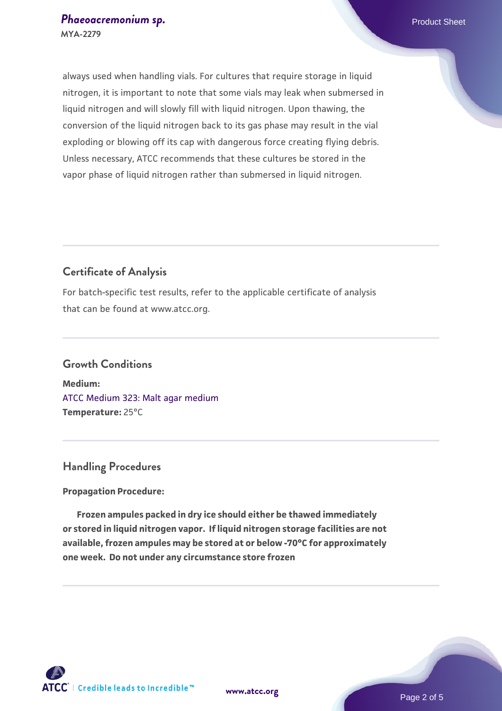always used when handling vials. For cultures that require storage in liquid nitrogen, it is important to note that some vials may leak when submersed in liquid nitrogen and will slowly fill with liquid nitrogen. Upon thawing, the conversion of the liquid nitrogen back to its gas phase may result in the vial exploding or blowing off its cap with dangerous force creating flying debris. Unless necessary, ATCC recommends that these cultures be stored in the vapor phase of liquid nitrogen rather than submersed in liquid nitrogen.

#### **Certificate of Analysis**

For batch-specific test results, refer to the applicable certificate of analysis that can be found at www.atcc.org.

### **Growth Conditions**

**Medium:**  [ATCC Medium 323: Malt agar medium](https://www.atcc.org/-/media/product-assets/documents/microbial-media-formulations/3/2/3/atcc-medium-323.pdf?rev=58d6457ee20149d7a1c844947569ef92) **Temperature:** 25°C

#### **Handling Procedures**

#### **Propagation Procedure:**

 **Frozen ampules packed in dry ice should either be thawed immediately or stored in liquid nitrogen vapor. If liquid nitrogen storage facilities are not available, frozen ampules may be stored at or below -70°C for approximately one week. Do not under any circumstance store frozen**

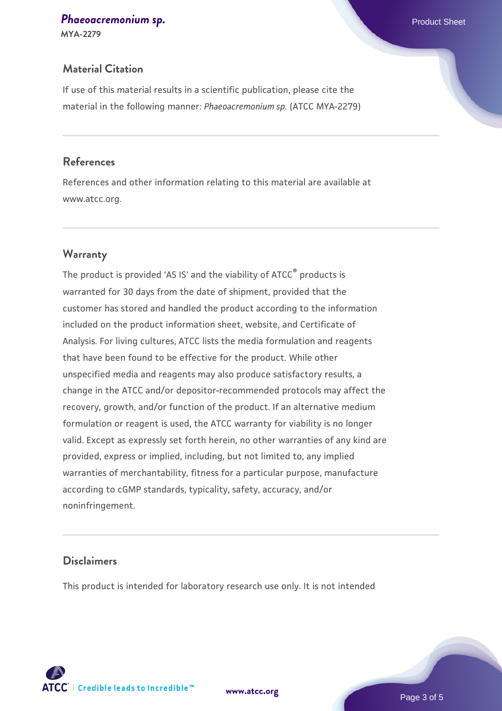## **[Phaeoacremonium sp.](https://www.atcc.org/products/mya-2279) Phaeoacremonium sp. Phaeoacremonium sp. Phaeoacremonium sp. Product Sheet**

**MYA-2279**

#### **Material Citation**

If use of this material results in a scientific publication, please cite the material in the following manner: *Phaeoacremonium sp.* (ATCC MYA-2279)

#### **References**

References and other information relating to this material are available at www.atcc.org.

#### **Warranty**

The product is provided 'AS IS' and the viability of ATCC® products is warranted for 30 days from the date of shipment, provided that the customer has stored and handled the product according to the information included on the product information sheet, website, and Certificate of Analysis. For living cultures, ATCC lists the media formulation and reagents that have been found to be effective for the product. While other unspecified media and reagents may also produce satisfactory results, a change in the ATCC and/or depositor-recommended protocols may affect the recovery, growth, and/or function of the product. If an alternative medium formulation or reagent is used, the ATCC warranty for viability is no longer valid. Except as expressly set forth herein, no other warranties of any kind are provided, express or implied, including, but not limited to, any implied warranties of merchantability, fitness for a particular purpose, manufacture according to cGMP standards, typicality, safety, accuracy, and/or noninfringement.

#### **Disclaimers**

This product is intended for laboratory research use only. It is not intended

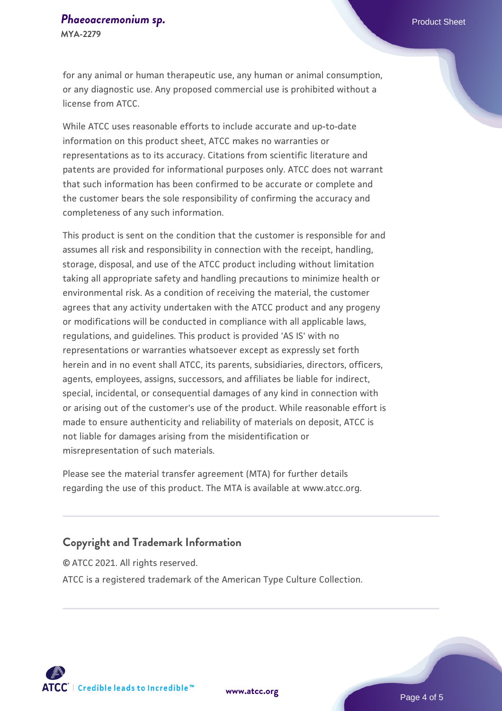# **[Phaeoacremonium sp.](https://www.atcc.org/products/mya-2279) Phaeoacremonium sp. Phaeoacremonium sp. Product Sheet**

**MYA-2279**

for any animal or human therapeutic use, any human or animal consumption, or any diagnostic use. Any proposed commercial use is prohibited without a license from ATCC.

While ATCC uses reasonable efforts to include accurate and up-to-date information on this product sheet, ATCC makes no warranties or representations as to its accuracy. Citations from scientific literature and patents are provided for informational purposes only. ATCC does not warrant that such information has been confirmed to be accurate or complete and the customer bears the sole responsibility of confirming the accuracy and completeness of any such information.

This product is sent on the condition that the customer is responsible for and assumes all risk and responsibility in connection with the receipt, handling, storage, disposal, and use of the ATCC product including without limitation taking all appropriate safety and handling precautions to minimize health or environmental risk. As a condition of receiving the material, the customer agrees that any activity undertaken with the ATCC product and any progeny or modifications will be conducted in compliance with all applicable laws, regulations, and guidelines. This product is provided 'AS IS' with no representations or warranties whatsoever except as expressly set forth herein and in no event shall ATCC, its parents, subsidiaries, directors, officers, agents, employees, assigns, successors, and affiliates be liable for indirect, special, incidental, or consequential damages of any kind in connection with or arising out of the customer's use of the product. While reasonable effort is made to ensure authenticity and reliability of materials on deposit, ATCC is not liable for damages arising from the misidentification or misrepresentation of such materials.

Please see the material transfer agreement (MTA) for further details regarding the use of this product. The MTA is available at www.atcc.org.

#### **Copyright and Trademark Information**

© ATCC 2021. All rights reserved. ATCC is a registered trademark of the American Type Culture Collection.